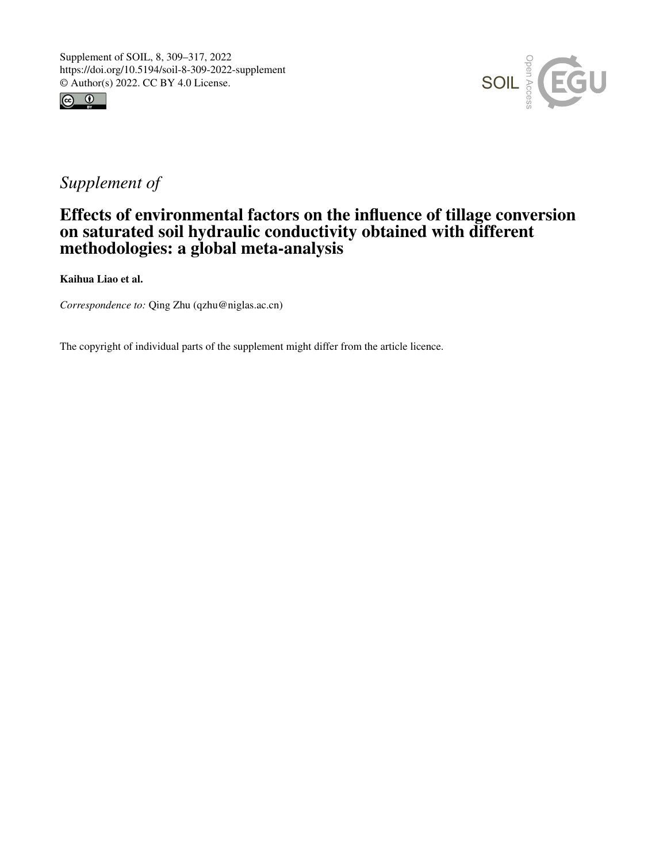



# *Supplement of*

## Effects of environmental factors on the influence of tillage conversion on saturated soil hydraulic conductivity obtained with different methodologies: a global meta-analysis

Kaihua Liao et al.

*Correspondence to:* Qing Zhu (qzhu@niglas.ac.cn)

The copyright of individual parts of the supplement might differ from the article licence.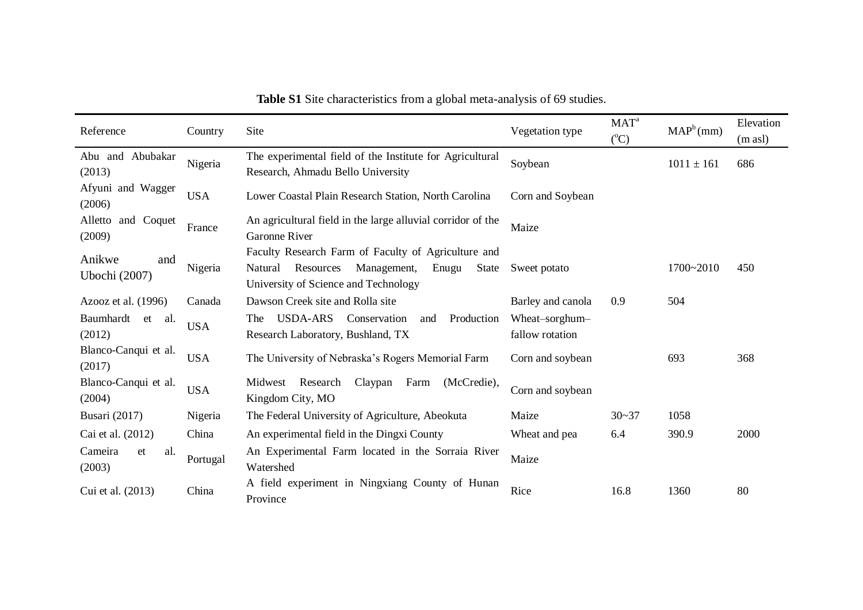| Reference                      | Country    | Site                                                                                                                                                 | Vegetation type                   | $MAT^a$<br>$({}^{\circ}C)$ | $MAP^b(mm)$    | Elevation<br>$(m \text{ as } l)$ |
|--------------------------------|------------|------------------------------------------------------------------------------------------------------------------------------------------------------|-----------------------------------|----------------------------|----------------|----------------------------------|
| Abu and Abubakar<br>(2013)     | Nigeria    | The experimental field of the Institute for Agricultural<br>Research, Ahmadu Bello University                                                        | Soybean                           |                            | $1011 \pm 161$ | 686                              |
| Afyuni and Wagger<br>(2006)    | <b>USA</b> | Lower Coastal Plain Research Station, North Carolina                                                                                                 | Corn and Soybean                  |                            |                |                                  |
| Alletto and Coquet<br>(2009)   | France     | An agricultural field in the large alluvial corridor of the<br><b>Garonne River</b>                                                                  | Maize                             |                            |                |                                  |
| Anikwe<br>and<br>Ubochi (2007) | Nigeria    | Faculty Research Farm of Faculty of Agriculture and<br>Resources<br>Management,<br>Natural<br>Enugu<br>State<br>University of Science and Technology | Sweet potato                      |                            | 1700~2010      | 450                              |
| Azooz et al. $(1996)$          | Canada     | Dawson Creek site and Rolla site                                                                                                                     | Barley and canola                 | 0.9                        | 504            |                                  |
| Baumhardt<br>et al.<br>(2012)  | <b>USA</b> | <b>USDA-ARS</b><br>Production<br>Conservation<br>The<br>and<br>Research Laboratory, Bushland, TX                                                     | Wheat-sorghum-<br>fallow rotation |                            |                |                                  |
| Blanco-Canqui et al.<br>(2017) | <b>USA</b> | The University of Nebraska's Rogers Memorial Farm                                                                                                    | Corn and soybean                  |                            | 693            | 368                              |
| Blanco-Canqui et al.<br>(2004) | <b>USA</b> | Midwest Research<br>Claypan Farm<br>(McCredie),<br>Kingdom City, MO                                                                                  | Corn and soybean                  |                            |                |                                  |
| <b>Busari</b> (2017)           | Nigeria    | The Federal University of Agriculture, Abeokuta                                                                                                      | Maize                             | $30 - 37$                  | 1058           |                                  |
| Cai et al. (2012)              | China      | An experimental field in the Dingxi County                                                                                                           | Wheat and pea                     | 6.4                        | 390.9          | 2000                             |
| Cameira<br>et<br>al.<br>(2003) | Portugal   | An Experimental Farm located in the Sorraia River<br>Watershed                                                                                       | Maize                             |                            |                |                                  |
| Cui et al. (2013)              | China      | A field experiment in Ningxiang County of Hunan<br>Province                                                                                          | Rice                              | 16.8                       | 1360           | 80                               |

**Table S1** Site characteristics from a global meta-analysis of 69 studies.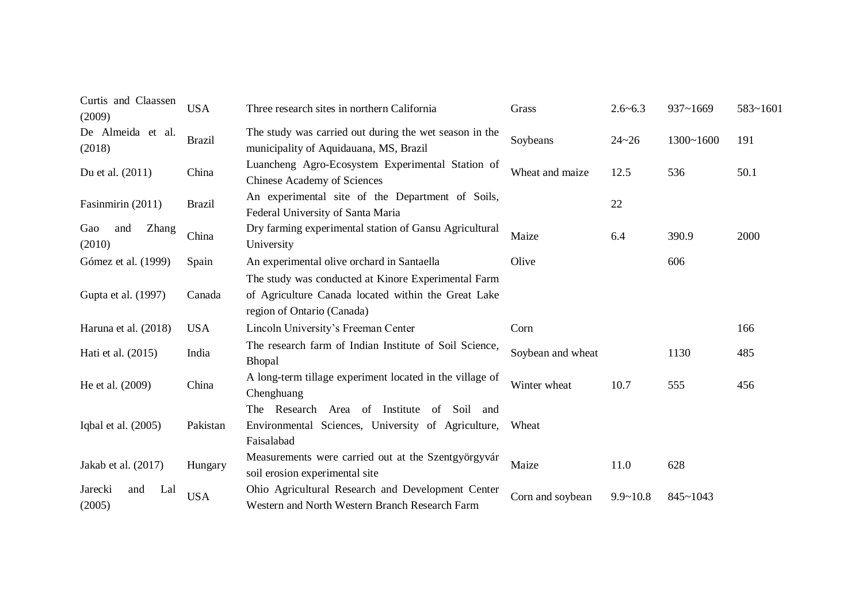| Curtis and Claassen<br>(2009)   | <b>USA</b>    | Three research sites in northern California                                                                          | Grass                | $2.6 - 6.3$  | $937 - 1669$  | 583~1601 |  |  |
|---------------------------------|---------------|----------------------------------------------------------------------------------------------------------------------|----------------------|--------------|---------------|----------|--|--|
| De Almeida et al.<br>(2018)     | <b>Brazil</b> | The study was carried out during the wet season in the<br>municipality of Aquidauana, MS, Brazil                     | Soybeans             | $24 - 26$    | $1300 - 1600$ | 191      |  |  |
| Du et al. (2011)                | China         | Luancheng Agro-Ecosystem Experimental Station of<br><b>Chinese Academy of Sciences</b>                               | Wheat and maize      | 12.5         | 536           | 50.1     |  |  |
| Fasinmirin (2011)               | <b>Brazil</b> | An experimental site of the Department of Soils,<br>Federal University of Santa Maria                                | 22                   |              |               |          |  |  |
| Zhang<br>Gao<br>and<br>(2010)   | China         | Dry farming experimental station of Gansu Agricultural<br>University                                                 | Maize                | 6.4          | 390.9         | 2000     |  |  |
| Gómez et al. (1999)             | Spain         | An experimental olive orchard in Santaella                                                                           | Olive                |              | 606           |          |  |  |
|                                 |               | The study was conducted at Kinore Experimental Farm                                                                  |                      |              |               |          |  |  |
| Gupta et al. (1997)             | Canada        | of Agriculture Canada located within the Great Lake<br>region of Ontario (Canada)                                    |                      |              |               |          |  |  |
| Haruna et al. (2018)            | <b>USA</b>    | Lincoln University's Freeman Center                                                                                  | Corn                 |              |               | 166      |  |  |
| Hati et al. (2015)              | India         | The research farm of Indian Institute of Soil Science,<br>Bhopal                                                     | Soybean and wheat    |              | 1130          | 485      |  |  |
| China<br>He et al. (2009)       |               | A long-term tillage experiment located in the village of<br>Chenghuang                                               | 10.7<br>Winter wheat |              | 555           | 456      |  |  |
| Iqbal et al. $(2005)$           | Pakistan      | The Research Area of Institute<br>of Soil<br>and<br>Environmental Sciences, University of Agriculture,<br>Faisalabad | Wheat                |              |               |          |  |  |
| Jakab et al. (2017)             | Hungary       | Measurements were carried out at the Szentgy örgyv ár<br>soil erosion experimental site                              | Maize                | 11.0         | 628           |          |  |  |
| Lal<br>Jarecki<br>and<br>(2005) | <b>USA</b>    | Ohio Agricultural Research and Development Center<br>Western and North Western Branch Research Farm                  | Corn and soybean     | $9.9 - 10.8$ | 845~1043      |          |  |  |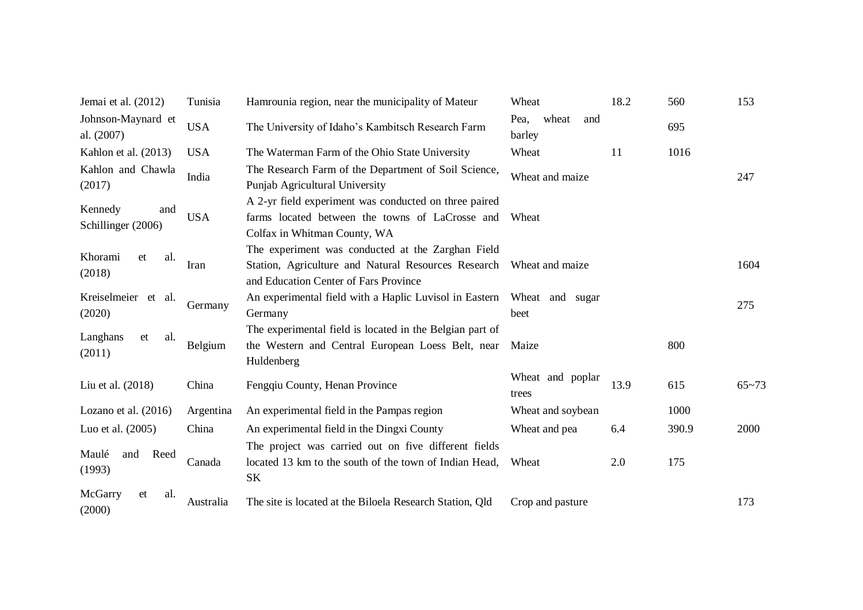| Jemai et al. (2012)                  | Tunisia    | Hamrounia region, near the municipality of Mateur                                                                                                                 | Wheat                          | 18.2 | 560   | 153       |  |  |  |
|--------------------------------------|------------|-------------------------------------------------------------------------------------------------------------------------------------------------------------------|--------------------------------|------|-------|-----------|--|--|--|
| Johnson-Maynard et<br>al. (2007)     | <b>USA</b> | The University of Idaho's Kambitsch Research Farm                                                                                                                 | Pea,<br>wheat<br>and<br>barley |      | 695   |           |  |  |  |
| Kahlon et al. (2013)                 | <b>USA</b> | The Waterman Farm of the Ohio State University                                                                                                                    | Wheat                          | 11   | 1016  |           |  |  |  |
| Kahlon and Chawla<br>(2017)          | India      | The Research Farm of the Department of Soil Science,<br>Punjab Agricultural University                                                                            | Wheat and maize                |      |       | 247       |  |  |  |
| Kennedy<br>and<br>Schillinger (2006) | <b>USA</b> | A 2-yr field experiment was conducted on three paired<br>farms located between the towns of LaCrosse and<br>Colfax in Whitman County, WA                          | Wheat                          |      |       |           |  |  |  |
| Khorami<br>et<br>al.<br>(2018)       | Iran       | The experiment was conducted at the Zarghan Field<br>Station, Agriculture and Natural Resources Research Wheat and maize<br>and Education Center of Fars Province |                                | 1604 |       |           |  |  |  |
| Kreiselmeier et al.<br>(2020)        | Germany    | An experimental field with a Haplic Luvisol in Eastern<br>Germany                                                                                                 | Wheat and sugar<br>beet        |      |       |           |  |  |  |
| Langhans<br>et<br>al.<br>(2011)      | Belgium    | The experimental field is located in the Belgian part of<br>the Western and Central European Loess Belt, near<br>Huldenberg                                       | Maize                          |      | 800   |           |  |  |  |
| Liu et al. (2018)                    | China      | Fengqiu County, Henan Province                                                                                                                                    | Wheat and poplar<br>trees      | 13.9 | 615   | $65 - 73$ |  |  |  |
| Lozano et al. $(2016)$               | Argentina  | An experimental field in the Pampas region                                                                                                                        | Wheat and soybean              |      | 1000  |           |  |  |  |
| Luo et al. (2005)                    | China      | An experimental field in the Dingxi County                                                                                                                        | Wheat and pea                  | 6.4  | 390.9 | 2000      |  |  |  |
| Maulé<br>Reed<br>and<br>(1993)       | Canada     | The project was carried out on five different fields<br>located 13 km to the south of the town of Indian Head,<br>SK                                              | Wheat                          | 2.0  | 175   |           |  |  |  |
| McGarry<br>et<br>al.<br>(2000)       | Australia  | The site is located at the Biloela Research Station, Qld                                                                                                          | Crop and pasture               |      |       | 173       |  |  |  |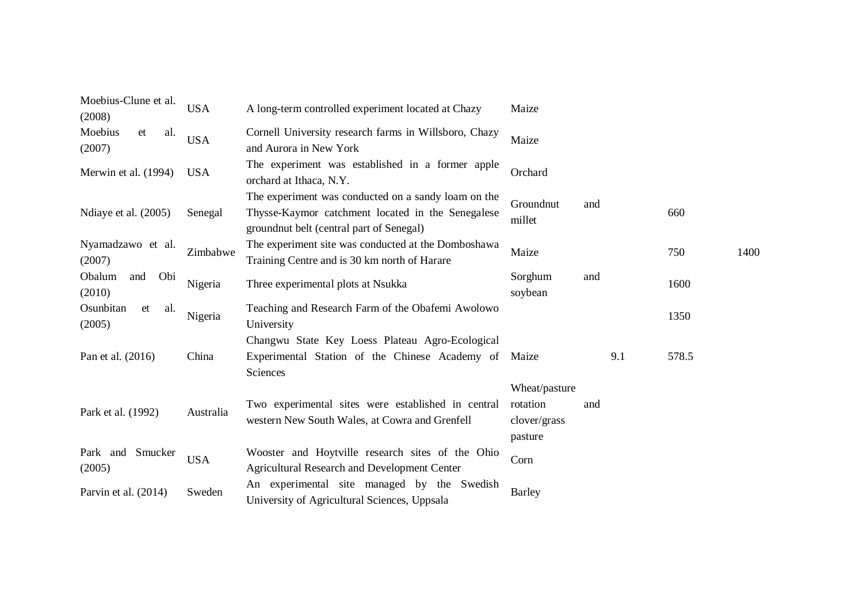| Moebius-Clune et al.<br>(2008)   | <b>USA</b> | A long-term controlled experiment located at Chazy                                                                                                   | Maize                                                |     |     |       |      |
|----------------------------------|------------|------------------------------------------------------------------------------------------------------------------------------------------------------|------------------------------------------------------|-----|-----|-------|------|
| Moebius<br>et<br>al.<br>(2007)   | <b>USA</b> | Cornell University research farms in Willsboro, Chazy<br>and Aurora in New York                                                                      | Maize                                                |     |     |       |      |
| Merwin et al. (1994)             | <b>USA</b> | The experiment was established in a former apple<br>orchard at Ithaca, N.Y.                                                                          | Orchard                                              |     |     |       |      |
| Ndiaye et al. (2005)             | Senegal    | The experiment was conducted on a sandy loam on the<br>Thysse-Kaymor catchment located in the Senegalese<br>groundnut belt (central part of Senegal) | Groundnut<br>millet                                  | and |     | 660   |      |
| Nyamadzawo et al.<br>(2007)      | Zimbabwe   | The experiment site was conducted at the Domboshawa<br>Training Centre and is 30 km north of Harare                                                  | Maize                                                |     |     | 750   | 1400 |
| Obi<br>Obalum<br>and<br>(2010)   | Nigeria    | Three experimental plots at Nsukka                                                                                                                   | Sorghum<br>soybean                                   | and |     | 1600  |      |
| Osunbitan<br>et<br>al.<br>(2005) | Nigeria    | Teaching and Research Farm of the Obafemi Awolowo<br>University                                                                                      |                                                      |     |     | 1350  |      |
| Pan et al. (2016)                | China      | Changwu State Key Loess Plateau Agro-Ecological<br>Experimental Station of the Chinese Academy of Maize<br>Sciences                                  |                                                      |     | 9.1 | 578.5 |      |
| Park et al. (1992)               | Australia  | Two experimental sites were established in central<br>western New South Wales, at Cowra and Grenfell                                                 | Wheat/pasture<br>rotation<br>clover/grass<br>pasture | and |     |       |      |
| Park and Smucker<br>(2005)       | <b>USA</b> | Wooster and Hoytville research sites of the Ohio<br><b>Agricultural Research and Development Center</b>                                              | Corn                                                 |     |     |       |      |
| Parvin et al. (2014)             | Sweden     | An experimental site managed by the Swedish<br>University of Agricultural Sciences, Uppsala                                                          | <b>Barley</b>                                        |     |     |       |      |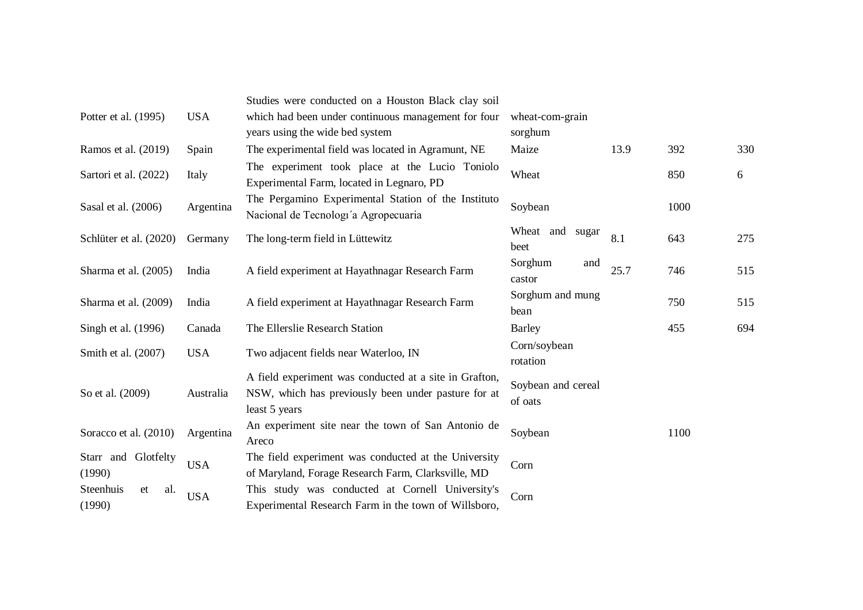|                                  |            | Studies were conducted on a Houston Black clay soil                                                                            |                               |      |      |     |  |  |
|----------------------------------|------------|--------------------------------------------------------------------------------------------------------------------------------|-------------------------------|------|------|-----|--|--|
| Potter et al. (1995)             | <b>USA</b> | which had been under continuous management for four                                                                            | wheat-com-grain               |      |      |     |  |  |
|                                  |            | years using the wide bed system                                                                                                | sorghum                       |      |      |     |  |  |
| Ramos et al. (2019)              | Spain      | The experimental field was located in Agramunt, NE                                                                             | Maize                         | 13.9 | 392  | 330 |  |  |
| Sartori et al. (2022)            | Italy      | The experiment took place at the Lucio Toniolo<br>Experimental Farm, located in Legnaro, PD                                    | Wheat                         |      | 850  | 6   |  |  |
| Sasal et al. (2006)              | Argentina  | The Pergamino Experimental Station of the Instituto<br>Nacional de Tecnologi'a Agropecuaria                                    | Soybean                       |      | 1000 |     |  |  |
| Schlüter et al. (2020)           | Germany    | The long-term field in Lüttewitz                                                                                               | Wheat and sugar<br>beet       | 8.1  | 643  | 275 |  |  |
| Sharma et al. (2005)             | India      | A field experiment at Hayathnagar Research Farm                                                                                | Sorghum<br>and<br>castor      | 25.7 | 746  | 515 |  |  |
| Sharma et al. (2009)             | India      | A field experiment at Hayathnagar Research Farm                                                                                | Sorghum and mung<br>bean      |      | 750  | 515 |  |  |
| Singh et al. (1996)              | Canada     | The Ellerslie Research Station                                                                                                 | <b>Barley</b>                 |      | 455  | 694 |  |  |
| Smith et al. (2007)              | <b>USA</b> | Two adjacent fields near Waterloo, IN                                                                                          | Corn/soybean<br>rotation      |      |      |     |  |  |
| So et al. (2009)                 | Australia  | A field experiment was conducted at a site in Grafton,<br>NSW, which has previously been under pasture for at<br>least 5 years | Soybean and cereal<br>of oats |      |      |     |  |  |
| Soracco et al. (2010)            | Argentina  | An experiment site near the town of San Antonio de<br>Areco                                                                    | Soybean                       |      | 1100 |     |  |  |
| Starr and Glotfelty<br>(1990)    | <b>USA</b> | The field experiment was conducted at the University<br>of Maryland, Forage Research Farm, Clarksville, MD                     | Corn                          |      |      |     |  |  |
| Steenhuis<br>et<br>al.<br>(1990) | <b>USA</b> | This study was conducted at Cornell University's<br>Experimental Research Farm in the town of Willsboro,                       | Corn                          |      |      |     |  |  |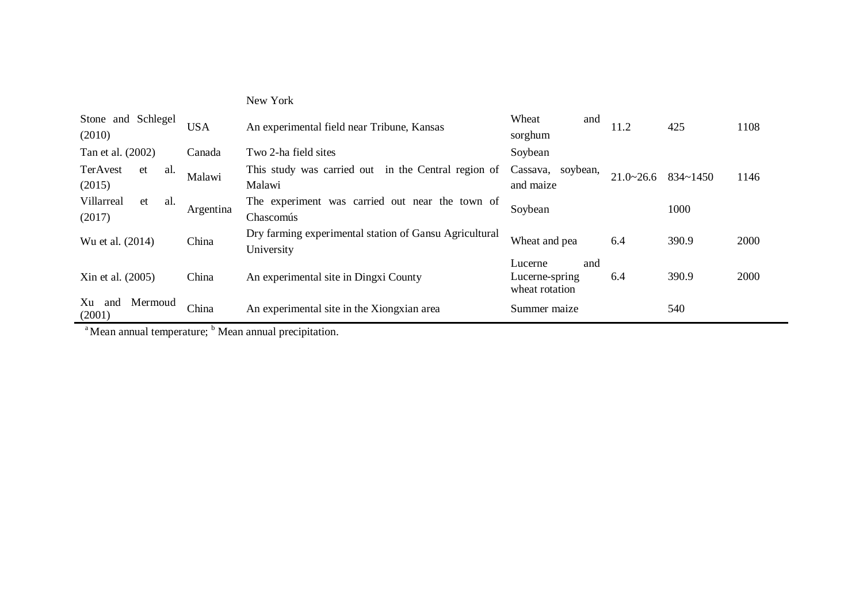| Stone and Schlegel<br>(2010)      | <b>USA</b> | An experimental field near Tribune, Kansas                           | Wheat<br>and<br>sorghum                            | 11.2               | 425      | 1108 |
|-----------------------------------|------------|----------------------------------------------------------------------|----------------------------------------------------|--------------------|----------|------|
| Tan et al. (2002)                 | Canada     | Two 2-ha field sites                                                 | Soybean                                            |                    |          |      |
| TerAvest<br>al.<br>et<br>(2015)   | Malawi     | This study was carried out in the Central region of<br>Malawi        | Cassava, soybean,<br>and maize                     | $21.0 \times 26.6$ | 834~1450 | 1146 |
| Villarreal<br>al.<br>et<br>(2017) | Argentina  | The experiment was carried out near the town of<br>Chascom ús        |                                                    | 1000               |          |      |
| Wu et al. (2014)                  | China      | Dry farming experimental station of Gansu Agricultural<br>University | Wheat and pea                                      | 6.4                | 390.9    | 2000 |
| China<br>Xin et al. (2005)        |            | An experimental site in Dingxi County                                | and<br>Lucerne<br>Lucerne-spring<br>wheat rotation | 6.4                | 390.9    | 2000 |
| Mermoud<br>Xu<br>and<br>(2001)    | China      | An experimental site in the Xiongxian area                           | Summer maize                                       |                    | 540      |      |

New York

 $\frac{a}{b}$ Mean annual temperature;  $\frac{b}{c}$ Mean annual precipitation.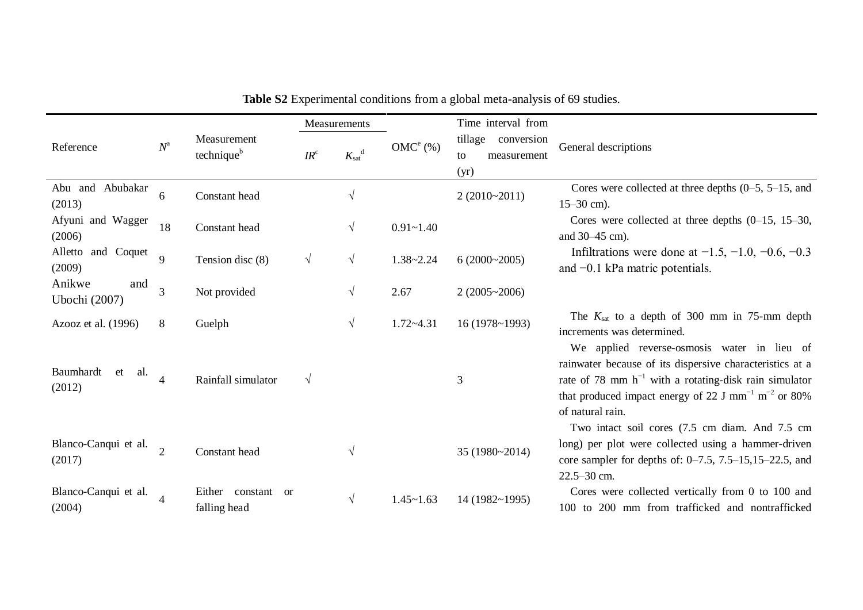|                                  |                          |                                                  | <b>Measurements</b> |                                                        |               | Time interval from                                 |                                                                                                                                                                                                                                                                          |  |
|----------------------------------|--------------------------|--------------------------------------------------|---------------------|--------------------------------------------------------|---------------|----------------------------------------------------|--------------------------------------------------------------------------------------------------------------------------------------------------------------------------------------------------------------------------------------------------------------------------|--|
| Reference                        | $N^{\rm a}$              | Measurement<br>technique <sup>b</sup>            | $IR^c$              | $K_{\mathrm{sat}}^{\phantom{\mathrm{d}}^{\mathrm{d}}}$ | $OMC^e$ (%)   | tillage<br>conversion<br>to<br>measurement<br>(yr) | General descriptions                                                                                                                                                                                                                                                     |  |
| Abu and Abubakar<br>(2013)       | 6                        | Constant head                                    |                     | $\sqrt{ }$                                             |               | $2(2010-2011)$                                     | Cores were collected at three depths $(0-5, 5-15, 0)$<br>$15 - 30$ cm).                                                                                                                                                                                                  |  |
| Afyuni and Wagger<br>(2006)      | 18                       | Constant head                                    |                     | $\sqrt{ }$                                             | $0.91 - 1.40$ |                                                    | Cores were collected at three depths $(0-15, 15-30, 15-30)$<br>and 30–45 cm).                                                                                                                                                                                            |  |
| Alletto and Coquet<br>(2009)     | 9                        | Tension disc (8)                                 | $\sqrt{ }$          | $\sqrt{ }$                                             | $1.38 - 2.24$ | $6(2000-2005)$                                     | Infiltrations were done at $-1.5$ , $-1.0$ , $-0.6$ , $-0.3$<br>and $-0.1$ kPa matric potentials.                                                                                                                                                                        |  |
| Anikwe<br>and<br>Ubochi (2007)   | $\overline{3}$           | Not provided                                     |                     | $\sqrt{ }$                                             | 2.67          | $2(2005 \times 2006)$                              |                                                                                                                                                                                                                                                                          |  |
| Azooz et al. (1996)              | 8                        | Guelph                                           |                     | $\sqrt{ }$                                             | $1.72 - 4.31$ | 16 (1978~1993)                                     | The $K_{\text{sat}}$ to a depth of 300 mm in 75-mm depth<br>increments was determined.                                                                                                                                                                                   |  |
| Baumhardt<br>et<br>al.<br>(2012) | $\overline{\mathcal{A}}$ | Rainfall simulator                               | $\sqrt{ }$          |                                                        |               | 3                                                  | We applied reverse-osmosis water in lieu of<br>rainwater because of its dispersive characteristics at a<br>rate of 78 mm $h^{-1}$ with a rotating-disk rain simulator<br>that produced impact energy of 22 J mm <sup>-1</sup> m <sup>-2</sup> or 80%<br>of natural rain. |  |
| Blanco-Canqui et al.<br>(2017)   | $\overline{\mathcal{L}}$ | Constant head                                    |                     | $\sqrt{ }$                                             |               | 35 (1980~2014)                                     | Two intact soil cores (7.5 cm diam. And 7.5 cm<br>long) per plot were collected using a hammer-driven<br>core sampler for depths of: $0-7.5$ , $7.5-15,15-22.5$ , and<br>22.5-30 cm.                                                                                     |  |
| Blanco-Canqui et al.<br>(2004)   |                          | Either constant<br><sub>or</sub><br>falling head |                     | $\sqrt{ }$                                             | $1.45 - 1.63$ | 14 (1982~1995)                                     | Cores were collected vertically from 0 to 100 and<br>100 to 200 mm from trafficked and nontrafficked                                                                                                                                                                     |  |

**Table S2** Experimental conditions from a global meta-analysis of 69 studies.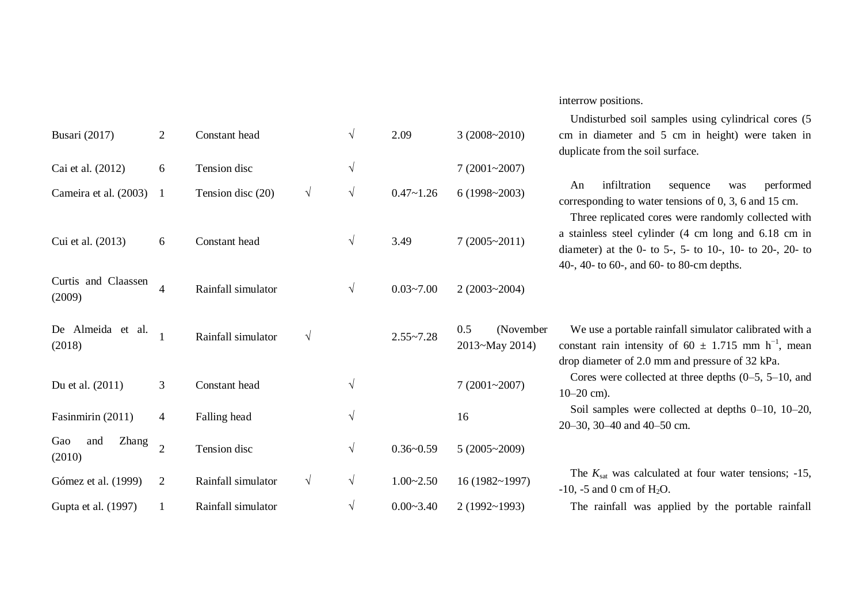#### interrow positions.

|                |                    |               |            |               |                                    | Undisturbed soil samples using cylindrical cores (5)                                                                                                                             |
|----------------|--------------------|---------------|------------|---------------|------------------------------------|----------------------------------------------------------------------------------------------------------------------------------------------------------------------------------|
|                |                    |               |            |               |                                    | cm in diameter and 5 cm in height) were taken in<br>duplicate from the soil surface.                                                                                             |
| 6              | Tension disc       |               | $\sqrt{ }$ |               | 7(2001~2007)                       |                                                                                                                                                                                  |
| -1             | Tension disc (20)  | $\sqrt{ }$    | $\sqrt{ }$ | $0.47 - 1.26$ | $6(1998-2003)$                     | infiltration<br>performed<br>An<br>sequence<br>was<br>corresponding to water tensions of $0, 3, 6$ and 15 cm.<br>Three replicated cores were randomly collected with             |
| 6              | Constant head      |               | $\sqrt{ }$ | 3.49          | $7(2005 \times 2011)$              | a stainless steel cylinder (4 cm long and 6.18 cm in<br>diameter) at the 0- to 5-, 5- to 10-, 10- to 20-, 20- to<br>40-, 40- to 60-, and 60- to 80-cm depths.                    |
| $\overline{4}$ | Rainfall simulator |               | $\sqrt{ }$ | $0.03 - 7.00$ | $2(2003 - 2004)$                   |                                                                                                                                                                                  |
|                | Rainfall simulator | $\sqrt{ }$    |            | $2.55 - 7.28$ | 0.5<br>(November<br>2013~May 2014) | We use a portable rainfall simulator calibrated with a<br>constant rain intensity of 60 $\pm$ 1.715 mm h <sup>-1</sup> , mean<br>drop diameter of 2.0 mm and pressure of 32 kPa. |
| $\mathfrak{Z}$ | Constant head      |               | $\sqrt{ }$ |               | $7(2001 - 2007)$                   | Cores were collected at three depths $(0-5, 5-10, 0)$<br>$10-20$ cm).                                                                                                            |
| $\overline{4}$ | Falling head       |               | $\sqrt{ }$ |               | 16                                 | Soil samples were collected at depths $0-10$ , $10-20$ ,<br>20-30, 30-40 and 40-50 cm.                                                                                           |
| $\overline{2}$ | Tension disc       |               | $\sqrt{ }$ | $0.36 - 0.59$ | $5(2005 \times 2009)$              |                                                                                                                                                                                  |
| $\overline{2}$ | Rainfall simulator | $\sqrt{ }$    | $\sqrt{ }$ | $1.00 - 2.50$ | 16(1982~1997)                      | The $K_{\text{sat}}$ was calculated at four water tensions; -15,<br>$-10$ , $-5$ and 0 cm of H <sub>2</sub> O.                                                                   |
| 1              | Rainfall simulator |               | $\sqrt{ }$ | $0.00 - 3.40$ | $2(1992 \times 1993)$              | The rainfall was applied by the portable rainfall                                                                                                                                |
|                | $\overline{2}$     | Constant head |            | $\sqrt{ }$    | 2.09                               | $3(2008-2010)$                                                                                                                                                                   |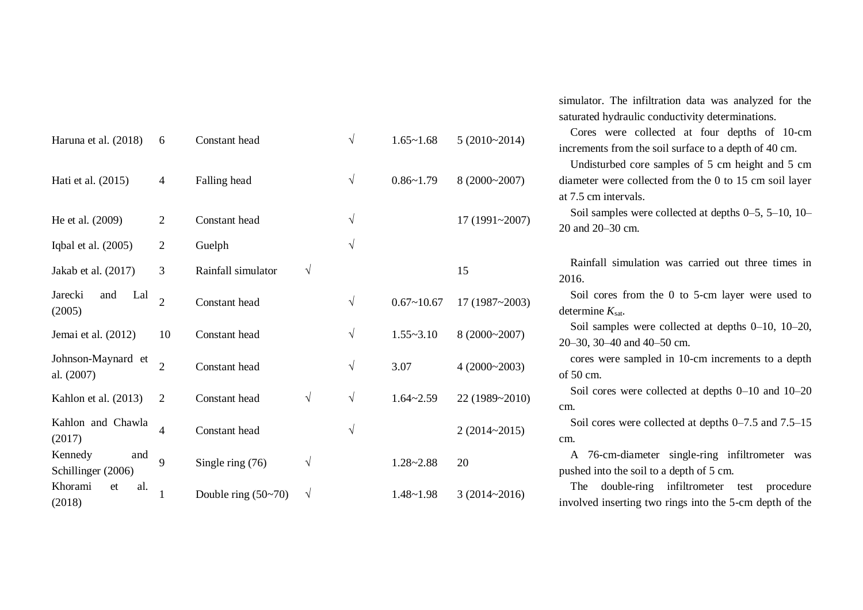| Haruna et al. (2018)                 | 6              | Constant head         |            | $\sqrt{}$ | $1.65 - 1.68$  | $5(2010-2014)$   | 1                  |
|--------------------------------------|----------------|-----------------------|------------|-----------|----------------|------------------|--------------------|
| Hati et al. (2015)                   | $\overline{4}$ | Falling head          |            | $\sqrt{}$ | $0.86 - 1.79$  | 8 (2000~2007)    | $\epsilon$<br>ί    |
| He et al. (2009)                     | $\mathfrak{2}$ | Constant head         |            | $\sqrt{}$ |                | 17 (1991~2007)   | $\tilde{\ }$       |
| Iqbal et al. (2005)                  | $\overline{2}$ | Guelph                |            | $\sqrt{}$ |                |                  |                    |
| Jakab et al. (2017)                  | 3              | Rainfall simulator    | V          |           |                | 15               |                    |
| Jarecki<br>Lal<br>and<br>(2005)      | $\overline{2}$ | Constant head         |            | $\sqrt{}$ | $0.67 - 10.67$ | 17 (1987~2003)   | $\mathbf \Omega$   |
| Jemai et al. (2012)                  | 10             | Constant head         |            | $\sqrt{}$ | $1.55 - 3.10$  | 8 (2000~2007)    |                    |
| Johnson-Maynard et<br>al. (2007)     | $\overline{2}$ | Constant head         |            | $\sqrt{}$ | 3.07           | 4(2000~2003)     | $\mathbf \epsilon$ |
| Kahlon et al. (2013)                 | $\overline{2}$ | Constant head         | $\sqrt{ }$ | $\sqrt{}$ | $1.64 - 2.59$  | 22 (1989~2010)   | C                  |
| Kahlon and Chawla<br>(2017)          | $\overline{4}$ | Constant head         |            | V         |                | $2(2014 - 2015)$ | C                  |
| Kennedy<br>and<br>Schillinger (2006) | 9              | Single ring (76)      | $\sqrt{}$  |           | $1.28 - 2.88$  | 20               | l                  |
| Khorami<br>al.<br>et<br>(2018)       | 1              | Double ring $(50-70)$ | V          |           | $1.48 - 1.98$  | $3(2014 - 2016)$ | $\mathbf{i}$       |

simulator. The infiltration data was analyzed for the saturated hydraulic conductivity determinations.

 Cores were collected at four depths of 10-cm increments from the soil surface to a depth of 40 cm.

 Undisturbed core samples of 5 cm height and 5 cm diameter were collected from the 0 to 15 cm soil layer at 7.5 cm intervals.

Soil samples were collected at depths 0–5, 5–10, 10– 20 and 20–30 cm.

Rainfall simulation was carried out three times in 2016.

Soil cores from the 0 to 5-cm layer were used to determine  $K_{\text{sat}}$ .

Soil samples were collected at depths 0–10, 10–20, 20–30, 30–40 and 40–50 cm.

cores were sampled in 10-cm increments to a depth of 50 cm.

Soil cores were collected at depths 0–10 and 10–20 cm.

Soil cores were collected at depths 0–7.5 and 7.5–15 cm.

A 76-cm-diameter single-ring infiltrometer was pushed into the soil to a depth of 5 cm.

The double-ring infiltrometer test procedure involved inserting two rings into the 5-cm depth of the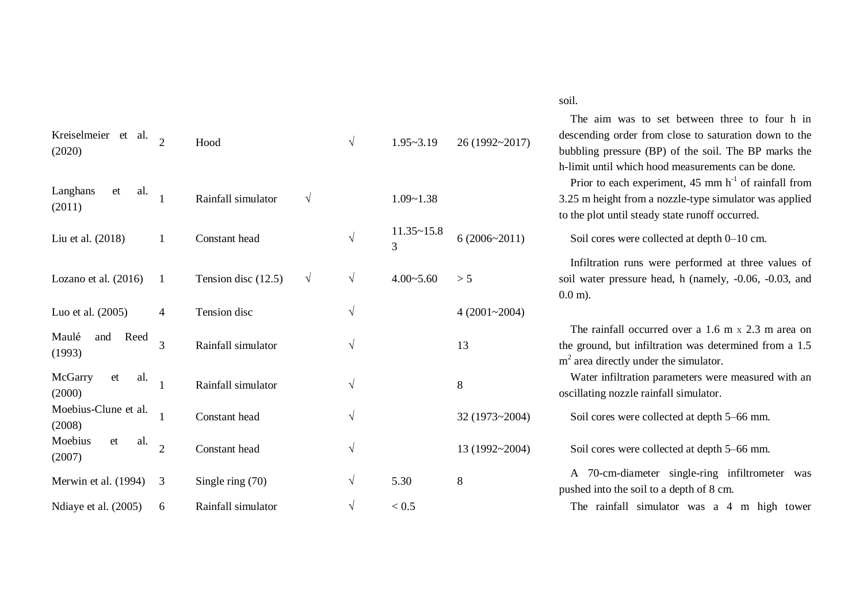| Kreiselmeier et al.<br>(2020)   |                | Hood                |            | $\sqrt{ }$ | $1.95 - 3.19$       | 26 (1992~2017)   | descending order from close to saturation dov<br>bubbling pressure (BP) of the soil. The BP r<br>h-limit until which hood measurements can be                |
|---------------------------------|----------------|---------------------|------------|------------|---------------------|------------------|--------------------------------------------------------------------------------------------------------------------------------------------------------------|
| Langhans<br>et<br>al.<br>(2011) |                | Rainfall simulator  | $\sqrt{ }$ |            | $1.09 - 1.38$       |                  | Prior to each experiment, $45 \text{ mm h}^{-1}$ of rain<br>3.25 m height from a nozzle-type simulator wa<br>to the plot until steady state runoff occurred. |
| Liu et al. (2018)               |                | Constant head       |            | $\sqrt{}$  | $11.35 - 15.8$<br>3 | $6(2006 - 2011)$ | Soil cores were collected at depth 0-10 cm.                                                                                                                  |
| Lozano et al. (2016)            |                | Tension disc (12.5) | V          | $\sqrt{ }$ | $4.00 - 5.60$       | > 5              | Infiltration runs were performed at three<br>soil water pressure head, h (namely, -0.06, -<br>$0.0 \text{ m}$ ).                                             |
| Luo et al. (2005)               | 4              | Tension disc        |            | $\sqrt{}$  |                     | $4(2001 - 2004)$ |                                                                                                                                                              |
| Maulé<br>Reed<br>and<br>(1993)  | 3              | Rainfall simulator  |            | $\sqrt{}$  |                     | 13               | The rainfall occurred over a 1.6 m x 2.3 n<br>the ground, but infiltration was determined fr<br>$m2$ area directly under the simulator.                      |
| McGarry<br>al.<br>et<br>(2000)  |                | Rainfall simulator  |            | $\sqrt{}$  |                     | 8                | Water infiltration parameters were measured<br>oscillating nozzle rainfall simulator.                                                                        |
| Moebius-Clune et al.<br>(2008)  |                | Constant head       |            | $\sqrt{}$  |                     | 32 (1973~2004)   | Soil cores were collected at depth 5-66 mm.                                                                                                                  |
| Moebius<br>et<br>al.<br>(2007)  | $\overline{2}$ | Constant head       |            | $\sqrt{}$  |                     | 13 (1992~2004)   | Soil cores were collected at depth 5–66 mm.                                                                                                                  |
| Merwin et al. (1994)            | 3              | Single ring $(70)$  |            | $\sqrt{}$  | 5.30                | 8                | A 70-cm-diameter single-ring infiltrome<br>pushed into the soil to a depth of 8 cm.                                                                          |
| Ndiaye et al. (2005)            | 6              | Rainfall simulator  |            | V          | < 0.5               |                  | The rainfall simulator was a 4 m high                                                                                                                        |

#### soil.

The aim was to set between three to four h in descending order from close to saturation down to the bubbling pressure (BP) of the soil. The BP marks the h-limit until which hood measurements can be done.

Prior to each experiment,  $45 \text{ mm h}^{-1}$  of rainfall from 3.25 m height from a nozzle -type simulator was applied to the plot until steady state runoff occurred .

 Infiltration runs were performed at three values of soil water pressure head, h (namely, -0.06, -0.03, and 0.0 m).

The rainfall occurred over a 1.6 m x 2.3 m area on the ground, but infiltration was determined from a  $1.5$  $m<sup>2</sup>$  area directly under the simulator.

Water infiltration parameters were measured with an oscillating nozzle rainfall simulator .

A 70 -cm -diameter single -ring infiltrometer was pushed into the soil to a depth of 8 cm .

The rainfall simulator was a 4 m high tower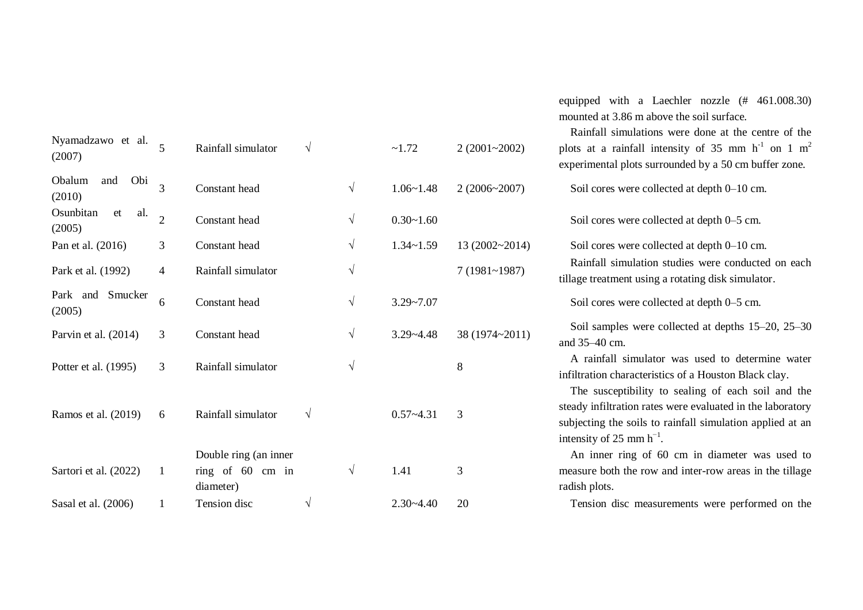| Nyamadzawo et al.<br>(2007)      |                | Rainfall simulator            | $\sqrt{ }$ |            | ~1.72         | $2(2001 - 2002)$ | Raintall simulations were done at the cen<br>plots at a rainfall intensity of $35 \text{ mm h}^{-1}$<br>experimental plots surrounded by a 50 cm buf |
|----------------------------------|----------------|-------------------------------|------------|------------|---------------|------------------|------------------------------------------------------------------------------------------------------------------------------------------------------|
| Obi<br>Obalum<br>and<br>(2010)   | 3              | Constant head                 |            | $\sqrt{ }$ | $1.06 - 1.48$ | 2(2006~2007)     | Soil cores were collected at depth 0-10 cm.                                                                                                          |
| Osunbitan<br>et<br>al.<br>(2005) | $\overline{2}$ | Constant head                 |            | $\sqrt{ }$ | $0.30 - 1.60$ |                  | Soil cores were collected at depth 0–5 cm.                                                                                                           |
| Pan et al. (2016)                | 3              | Constant head                 |            | $\sqrt{ }$ | $1.34 - 1.59$ | 13 (2002~2014)   | Soil cores were collected at depth 0-10 cm.                                                                                                          |
| Park et al. (1992)               | $\overline{4}$ | Rainfall simulator            |            | $\sqrt{}$  |               | $7(1981~-1987)$  | Rainfall simulation studies were conducted<br>tillage treatment using a rotating disk simulate                                                       |
| Park and Smucker<br>(2005)       | 6              | Constant head                 |            | $\sqrt{}$  | $3.29 - 7.07$ |                  | Soil cores were collected at depth 0–5 cm.                                                                                                           |
| Parvin et al. (2014)             | 3              | Constant head                 |            | $\sqrt{ }$ | $3.29 - 4.48$ | 38 (1974~2011)   | Soil samples were collected at depths 15–<br>and 35-40 cm.                                                                                           |
| Potter et al. (1995)             | 3              | Rainfall simulator            |            | $\sqrt{}$  |               | 8                | A rainfall simulator was used to determ<br>infiltration characteristics of a Houston Black<br>The susceptibility to sealing of each soi              |
| Ramos et al. (2019)              | 6              | Rainfall simulator            | $\sqrt{ }$ |            | $0.57 - 4.31$ | 3                | steady infiltration rates were evaluated in the 1<br>subjecting the soils to rainfall simulation app<br>intensity of 25 mm $h^{-1}$ .                |
|                                  |                | Double ring (an inner         |            |            |               |                  | An inner ring of 60 cm in diameter wa                                                                                                                |
| Sartori et al. (2022)            | -1             | ring of 60 cm in<br>diameter) |            | $\sqrt{ }$ | 1.41          | 3                | measure both the row and inter-row areas in<br>radish plots.                                                                                         |
| Sasal et al. (2006)              |                | Tension disc                  | V          |            | $2.30 - 4.40$ | 20               | Tension disc measurements were perform                                                                                                               |
|                                  |                |                               |            |            |               |                  |                                                                                                                                                      |

equipped with a Laechler nozzle (# 461.008.30) mounted at 3.86 m above the soil surface.

Rainfall simulations were done at the centre of the plots at a rainfall intensity of 35 mm  $h^{-1}$  on 1 m<sup>2</sup> lots surrounded by a 50 cm buffer zone.

ulation studies were conducted on each tillage treatment using a rotating disk simulator .

Soil samples were collected at depths 15–20, 25–30

imulator was used to determine water infiltration characteristics of a Houston Black clay .

ibility to sealing of each soil and the on rates were evaluated in the laboratory soils to rainfall simulation applied at an intensity of 25 mm  $h^{-1}$ .

ng of 60 cm in diameter was used to measure both the row and inter -row areas in the tillage

measurements were performed on the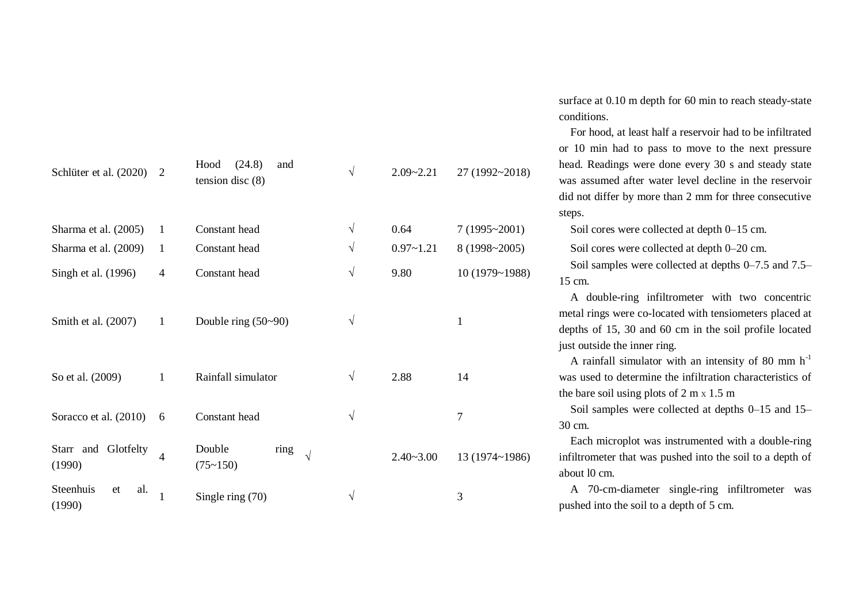| Schlüter et al. (2020)                       | 2              | (24.8)<br>Hood<br>and<br>tension disc $(8)$ | $\sqrt{ }$               | $2.09 - 2.21$         | 27 (1992~2018)                         |
|----------------------------------------------|----------------|---------------------------------------------|--------------------------|-----------------------|----------------------------------------|
| Sharma et al. (2005)<br>Sharma et al. (2009) | 1<br>1         | Constant head<br>Constant head              | $\sqrt{ }$<br>$\sqrt{ }$ | 0.64<br>$0.97 - 1.21$ | $7(1995 \times 2001)$<br>8 (1998~2005) |
| Singh et al. (1996)                          | 4              | Constant head                               | $\sqrt{ }$               | 9.80                  | 10 (1979~1988)                         |
| Smith et al. (2007)                          | $\mathbf{1}$   | Double ring $(50-90)$                       | $\sqrt{}$                |                       | 1                                      |
| So et al. (2009)                             | 1              | Rainfall simulator                          | $\sqrt{ }$               | 2.88                  | 14                                     |
| Soracco et al. (2010)                        | 6              | Constant head                               | $\sqrt{ }$               |                       | 7                                      |
| Starr and<br>Glotfelty<br>(1990)             | $\overline{4}$ | Double<br>ring<br>$\sqrt{}$<br>(75~150)     |                          | $2.40 - 3.00$         | 13 (1974~1986)                         |
| Steenhuis<br>al.<br>et<br>(1990)             | $\mathbf{1}$   | Single ring $(70)$                          | V                        |                       | 3                                      |

surface at 0.10 m depth for 60 min to reach steady-state conditions.

 For hood, at least half a reservoir had to be infiltrated or 10 min had to pass to move to the next pressure head. Readings were done every 30 s and steady state was assumed after water level decline in the reservoir did not differ by more than 2 mm for three consecutive steps.

Soil cores were collected at depth 0–15 cm.

Soil cores were collected at depth 0–20 cm.

 Soil samples were collected at depths 0–7.5 and 7.5– 15 cm.

A double-ring infiltrometer with two concentric metal rings were co-located with tensiometers placed at depths of 15, 30 and 60 cm in the soil profile located just outside the inner ring.

A rainfall simulator with an intensity of 80 mm  $h^{-1}$ was used to determine the infiltration characteristics of the bare soil using plots of 2 m x 1.5 m

Soil samples were collected at depths 0–15 and 15– 30 cm.

Each microplot was instrumented with a double-ring infiltrometer that was pushed into the soil to a depth of about l0 cm.

A 70-cm-diameter single-ring infiltrometer was pushed into the soil to a depth of 5 cm.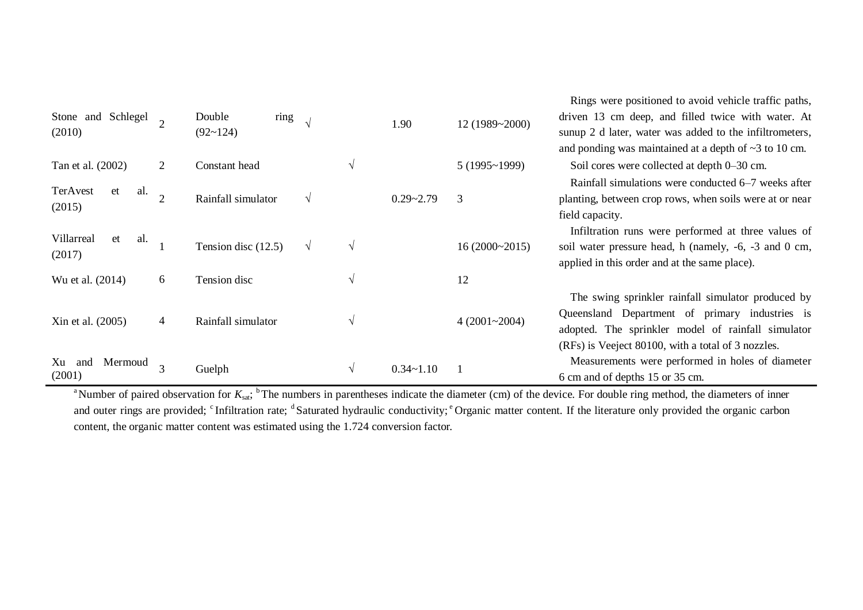|                                |               |                       |            |            |               |                       | Rings were positioned to avoid vehicle traffic paths,       |
|--------------------------------|---------------|-----------------------|------------|------------|---------------|-----------------------|-------------------------------------------------------------|
| Stone and Schlegel             |               | ring<br>Double        |            |            | 1.90          | 12 (1989~2000)        | driven 13 cm deep, and filled twice with water. At          |
| (2010)                         |               | (92~124)              |            |            |               |                       | sunup 2 d later, water was added to the infiltrometers,     |
|                                |               |                       |            |            |               |                       | and ponding was maintained at a depth of $\sim$ 3 to 10 cm. |
| Tan et al. (2002)              | 2             | Constant head         |            |            |               | $5(1995 \times 1999)$ | Soil cores were collected at depth 0–30 cm.                 |
|                                |               |                       |            |            |               |                       | Rainfall simulations were conducted 6–7 weeks after         |
| TerAvest<br>al.<br>et          | $\mathcal{D}$ | Rainfall simulator    | $\sqrt{ }$ |            | $0.29 - 2.79$ | 3                     | planting, between crop rows, when soils were at or near     |
| (2015)                         |               |                       |            |            |               |                       | field capacity.                                             |
|                                |               |                       |            |            |               |                       | Infiltration runs were performed at three values of         |
| Villarreal<br>al.<br>et        |               | Tension disc $(12.5)$ | $\sqrt{ }$ | $\sqrt{ }$ |               | 16(2000~2015)         | soil water pressure head, h (namely, -6, -3 and 0 cm,       |
| (2017)                         |               |                       |            |            |               |                       | applied in this order and at the same place).               |
| Wu et al. (2014)               | 6             | Tension disc          |            |            |               | 12                    |                                                             |
|                                |               |                       |            |            |               |                       | The swing sprinkler rainfall simulator produced by          |
| Xin et al. (2005)              | 4             | Rainfall simulator    |            |            |               | $4(2001 - 2004)$      | Queensland Department of primary industries is              |
|                                |               |                       |            | V          |               |                       | adopted. The sprinkler model of rainfall simulator          |
|                                |               |                       |            |            |               |                       | (RFs) is Veeject 80100, with a total of 3 nozzles.          |
| Mermoud<br>Xu<br>and<br>(2001) | 3             | Guelph                |            | V          | $0.34 - 1.10$ |                       | Measurements were performed in holes of diameter            |
|                                |               |                       |            |            |               |                       | 6 cm and of depths 15 or 35 cm.                             |

<sup>a</sup>Number of paired observation for  $K_{\text{sat}}$ ; <sup>b</sup>The numbers in parentheses indicate the diameter (cm) of the device. For double ring method, the diameters of inner and outer rings are provided; <sup>c</sup>Infiltration rate; <sup>d</sup>Saturated hydraulic conductivity; <sup>e</sup>Organic matter content. If the literature only provided the organic carbon content, the organic matter content was estimated using the 1.724 conversion factor.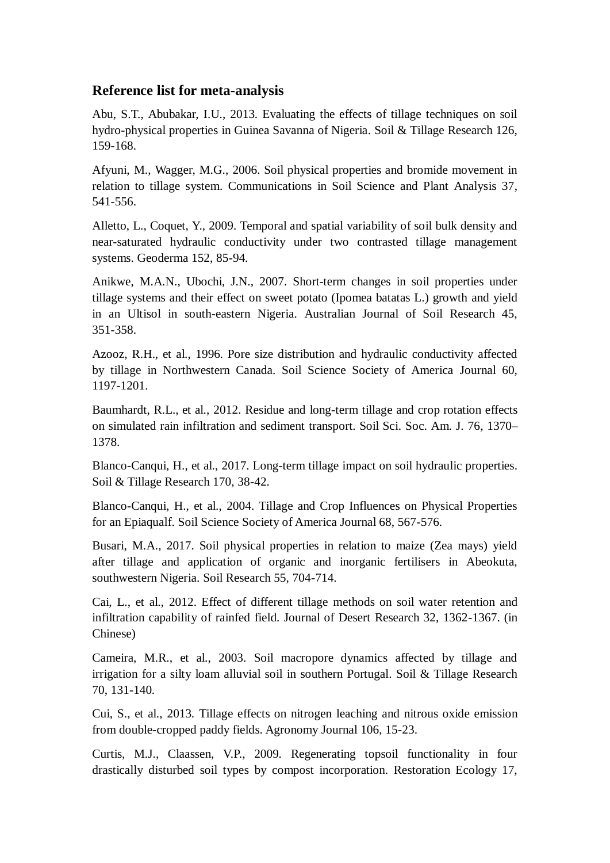### **Reference list for meta-analysis**

Abu, S.T., Abubakar, I.U., 2013. Evaluating the effects of tillage techniques on soil hydro-physical properties in Guinea Savanna of Nigeria. Soil & Tillage Research 126, 159-168.

Afyuni, M., Wagger, M.G., 2006. Soil physical properties and bromide movement in relation to tillage system. Communications in Soil Science and Plant Analysis 37, 541-556.

Alletto, L., Coquet, Y., 2009. Temporal and spatial variability of soil bulk density and near-saturated hydraulic conductivity under two contrasted tillage management systems. Geoderma 152, 85-94.

Anikwe, M.A.N., Ubochi, J.N., 2007. Short-term changes in soil properties under tillage systems and their effect on sweet potato (Ipomea batatas L.) growth and yield in an Ultisol in south-eastern Nigeria. Australian Journal of Soil Research 45, 351-358.

Azooz, R.H., et al., 1996. Pore size distribution and hydraulic conductivity affected by tillage in Northwestern Canada. Soil Science Society of America Journal 60, 1197-1201.

Baumhardt, R.L., et al., 2012. Residue and long-term tillage and crop rotation effects on simulated rain infiltration and sediment transport. Soil Sci. Soc. Am. J. 76, 1370– 1378.

Blanco-Canqui, H., et al., 2017. Long-term tillage impact on soil hydraulic properties. Soil & Tillage Research 170, 38-42.

Blanco-Canqui, H., et al., 2004. Tillage and Crop Influences on Physical Properties for an Epiaqualf. Soil Science Society of America Journal 68, 567-576.

Busari, M.A., 2017. Soil physical properties in relation to maize (Zea mays) yield after tillage and application of organic and inorganic fertilisers in Abeokuta, southwestern Nigeria. Soil Research 55, 704-714.

Cai, L., et al., 2012. Effect of different tillage methods on soil water retention and infiltration capability of rainfed field. Journal of Desert Research 32, 1362-1367. (in Chinese)

Cameira, M.R., et al., 2003. Soil macropore dynamics affected by tillage and irrigation for a silty loam alluvial soil in southern Portugal. Soil & Tillage Research 70, 131-140.

Cui, S., et al., 2013. Tillage effects on nitrogen leaching and nitrous oxide emission from double-cropped paddy fields. Agronomy Journal 106, 15-23.

Curtis, M.J., Claassen, V.P., 2009. Regenerating topsoil functionality in four drastically disturbed soil types by compost incorporation. Restoration Ecology 17,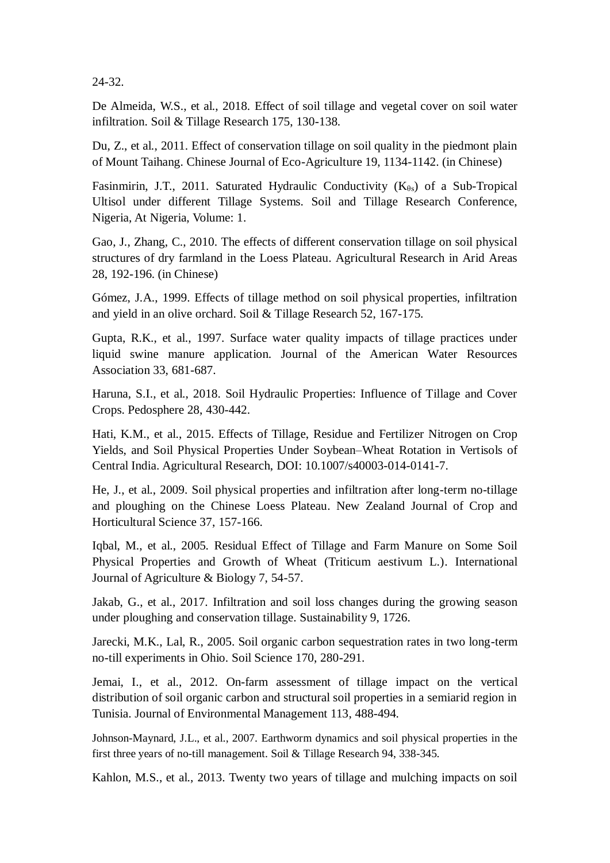24-32.

De Almeida, W.S., et al., 2018. Effect of soil tillage and vegetal cover on soil water infiltration. Soil & Tillage Research 175, 130-138.

Du, Z., et al., 2011. Effect of conservation tillage on soil quality in the piedmont plain of Mount Taihang. Chinese Journal of Eco-Agriculture 19, 1134-1142. (in Chinese)

Fasinmirin, J.T., 2011. Saturated Hydraulic Conductivity  $(K_{\theta s})$  of a Sub-Tropical Ultisol under different Tillage Systems. Soil and Tillage Research Conference, Nigeria, At Nigeria, Volume: 1.

Gao, J., Zhang, C., 2010. The effects of different conservation tillage on soil physical structures of dry farmland in the Loess Plateau. Agricultural Research in Arid Areas 28, 192-196. (in Chinese)

Gómez, J.A., 1999. Effects of tillage method on soil physical properties, infiltration and yield in an olive orchard. Soil & Tillage Research 52, 167-175.

Gupta, R.K., et al., 1997. Surface water quality impacts of tillage practices under liquid swine manure application. Journal of the American Water Resources Association 33, 681-687.

Haruna, S.I., et al., 2018. Soil Hydraulic Properties: Influence of Tillage and Cover Crops. Pedosphere 28, 430-442.

Hati, K.M., et al., 2015. Effects of Tillage, Residue and Fertilizer Nitrogen on Crop Yields, and Soil Physical Properties Under Soybean–Wheat Rotation in Vertisols of Central India. Agricultural Research, DOI: 10.1007/s40003-014-0141-7.

He, J., et al., 2009. Soil physical properties and infiltration after long-term no-tillage and ploughing on the Chinese Loess Plateau. New Zealand Journal of Crop and Horticultural Science 37, 157-166.

Iqbal, M., et al., 2005. Residual Effect of Tillage and Farm Manure on Some Soil Physical Properties and Growth of Wheat (Triticum aestivum L.). International Journal of Agriculture & Biology 7, 54-57.

Jakab, G., et al., 2017. Infiltration and soil loss changes during the growing season under ploughing and conservation tillage. Sustainability 9, 1726.

Jarecki, M.K., Lal, R., 2005. Soil organic carbon sequestration rates in two long-term no-till experiments in Ohio. Soil Science 170, 280-291.

Jemai, I., et al., 2012. On-farm assessment of tillage impact on the vertical distribution of soil organic carbon and structural soil properties in a semiarid region in Tunisia. Journal of Environmental Management 113, 488-494.

Johnson-Maynard, J.L., et al., 2007. Earthworm dynamics and soil physical properties in the first three years of no-till management. Soil & Tillage Research 94, 338-345.

Kahlon, M.S., et al., 2013. Twenty two years of tillage and mulching impacts on soil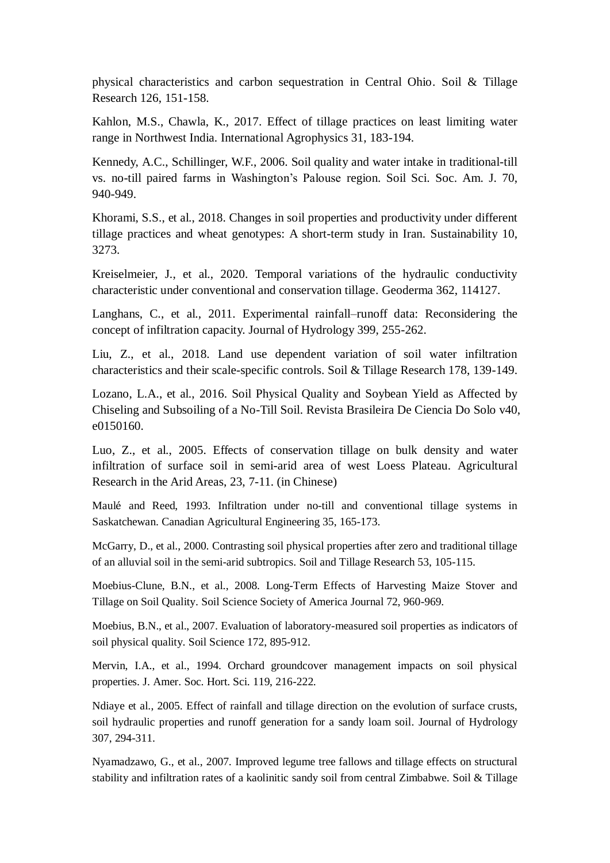physical characteristics and carbon sequestration in Central Ohio. Soil & Tillage Research 126, 151-158.

Kahlon, M.S., Chawla, K., 2017. Effect of tillage practices on least limiting water range in Northwest India. International Agrophysics 31, 183-194.

Kennedy, A.C., Schillinger, W.F., 2006. Soil quality and water intake in traditional-till vs. no-till paired farms in Washington's Palouse region. Soil Sci. Soc. Am. J. 70, 940-949.

Khorami, S.S., et al., 2018. Changes in soil properties and productivity under different tillage practices and wheat genotypes: A short-term study in Iran. Sustainability 10, 3273.

Kreiselmeier, J., et al., 2020. Temporal variations of the hydraulic conductivity characteristic under conventional and conservation tillage. Geoderma 362, 114127.

Langhans, C., et al., 2011. Experimental rainfall–runoff data: Reconsidering the concept of infiltration capacity. Journal of Hydrology 399, 255-262.

Liu, Z., et al., 2018. Land use dependent variation of soil water infiltration characteristics and their scale-specific controls. Soil & Tillage Research 178, 139-149.

Lozano, L.A., et al., 2016. Soil Physical Quality and Soybean Yield as Affected by Chiseling and Subsoiling of a No-Till Soil. Revista Brasileira De Ciencia Do Solo v40, e0150160.

Luo, Z., et al., 2005. Effects of conservation tillage on bulk density and water infiltration of surface soil in semi-arid area of west Loess Plateau. Agricultural Research in the Arid Areas, 23, 7-11. (in Chinese)

Maulé and Reed, 1993. Infiltration under no-till and conventional tillage systems in Saskatchewan. Canadian Agricultural Engineering 35, 165-173.

McGarry, D., et al., 2000. Contrasting soil physical properties after zero and traditional tillage of an alluvial soil in the semi-arid subtropics. Soil and Tillage Research 53, 105-115.

Moebius-Clune, B.N., et al., 2008. Long-Term Effects of Harvesting Maize Stover and Tillage on Soil Quality. Soil Science Society of America Journal 72, 960-969.

Moebius, B.N., et al., 2007. Evaluation of laboratory-measured soil properties as indicators of soil physical quality. Soil Science 172, 895-912.

Mervin, I.A., et al., 1994. Orchard groundcover management impacts on soil physical properties. J. Amer. Soc. Hort. Sci. 119, 216-222.

Ndiaye et al., 2005. Effect of rainfall and tillage direction on the evolution of surface crusts, soil hydraulic properties and runoff generation for a sandy loam soil. Journal of Hydrology 307, 294-311.

Nyamadzawo, G., et al., 2007. Improved legume tree fallows and tillage effects on structural stability and infiltration rates of a kaolinitic sandy soil from central Zimbabwe. Soil & Tillage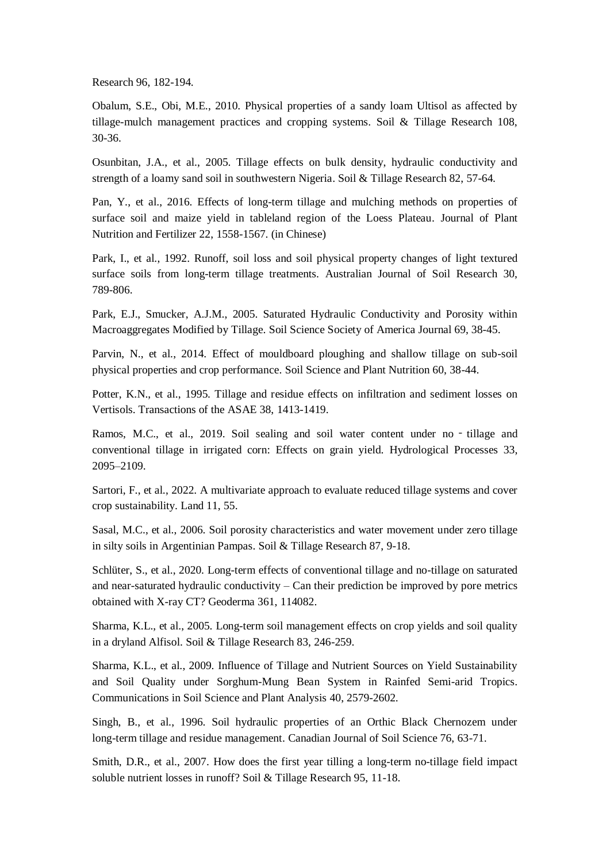Research 96, 182-194.

Obalum, S.E., Obi, M.E., 2010. Physical properties of a sandy loam Ultisol as affected by tillage-mulch management practices and cropping systems. Soil & Tillage Research 108, 30-36.

Osunbitan, J.A., et al., 2005. Tillage effects on bulk density, hydraulic conductivity and strength of a loamy sand soil in southwestern Nigeria. Soil & Tillage Research 82, 57-64.

Pan, Y., et al., 2016. Effects of long-term tillage and mulching methods on properties of surface soil and maize yield in tableland region of the Loess Plateau. Journal of Plant Nutrition and Fertilizer 22, 1558-1567. (in Chinese)

Park, I., et al., 1992. Runoff, soil loss and soil physical property changes of light textured surface soils from long-term tillage treatments. Australian Journal of Soil Research 30, 789-806.

Park, E.J., Smucker, A.J.M., 2005. Saturated Hydraulic Conductivity and Porosity within Macroaggregates Modified by Tillage. Soil Science Society of America Journal 69, 38-45.

Parvin, N., et al., 2014. Effect of mouldboard ploughing and shallow tillage on sub-soil physical properties and crop performance. Soil Science and Plant Nutrition 60, 38-44.

Potter, K.N., et al., 1995. Tillage and residue effects on infiltration and sediment losses on Vertisols. Transactions of the ASAE 38, 1413-1419.

Ramos, M.C., et al., 2019. Soil sealing and soil water content under no - tillage and conventional tillage in irrigated corn: Effects on grain yield. Hydrological Processes 33, 2095–2109.

Sartori, F., et al., 2022. A multivariate approach to evaluate reduced tillage systems and cover crop sustainability. Land 11, 55.

Sasal, M.C., et al., 2006. Soil porosity characteristics and water movement under zero tillage in silty soils in Argentinian Pampas. Soil & Tillage Research 87, 9-18.

Schlüter, S., et al., 2020. Long-term effects of conventional tillage and no-tillage on saturated and near-saturated hydraulic conductivity – Can their prediction be improved by pore metrics obtained with X-ray CT? Geoderma 361, 114082.

Sharma, K.L., et al., 2005. Long-term soil management effects on crop yields and soil quality in a dryland Alfisol. Soil & Tillage Research 83, 246-259.

Sharma, K.L., et al., 2009. Influence of Tillage and Nutrient Sources on Yield Sustainability and Soil Quality under Sorghum-Mung Bean System in Rainfed Semi-arid Tropics. Communications in Soil Science and Plant Analysis 40, 2579-2602.

Singh, B., et al., 1996. Soil hydraulic properties of an Orthic Black Chernozem under long-term tillage and residue management. Canadian Journal of Soil Science 76, 63-71.

Smith, D.R., et al., 2007. How does the first year tilling a long-term no-tillage field impact soluble nutrient losses in runoff? Soil & Tillage Research 95, 11-18.